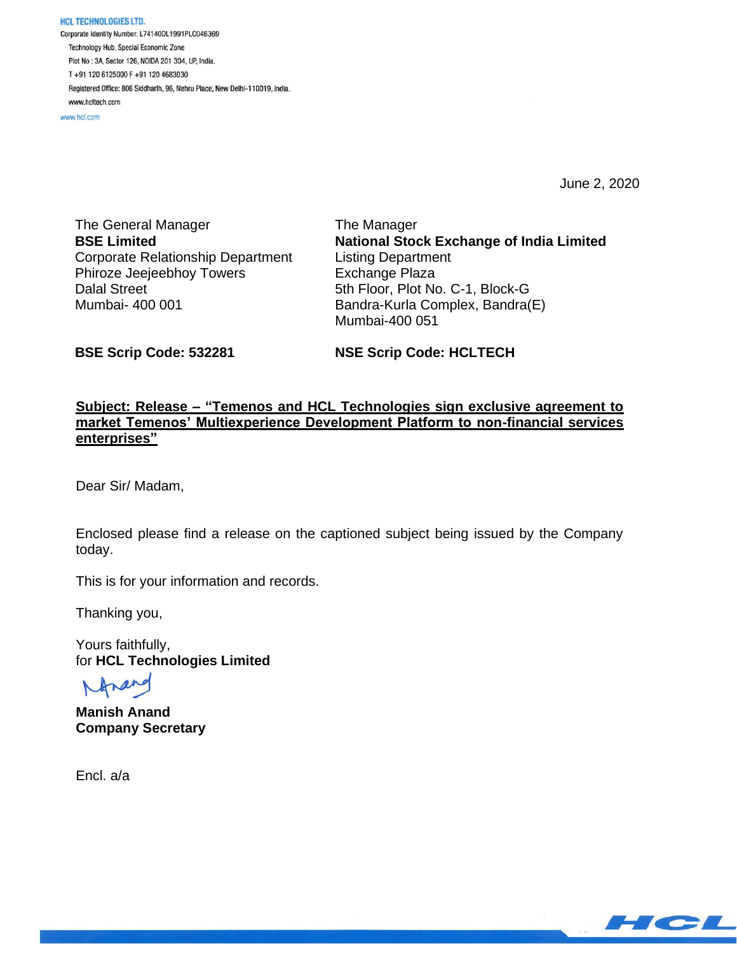**HCL TECHNOLOGIES LTD.** Corporate Identity Number: L74140DL1991PLC046369 Technology Hub, Special Economic Zone Plot No: 3A, Sector 126, NOIDA 201 304, UP, India. T+91 120 6125000 F+91 120 4683030 Registered Office: 806 Siddharth, 96, Nehru Place, New Delhi-110019, India. www.hcltech.com

www.hcl.com

June 2, 2020

The General Manager **BSE Limited** Corporate Relationship Department Phiroze Jeejeebhoy Towers Dalal Street Mumbai- 400 001

The Manager **National Stock Exchange of India Limited** Listing Department Exchange Plaza 5th Floor, Plot No. C-1, Block-G Bandra-Kurla Complex, Bandra(E) Mumbai-400 051

**BSE Scrip Code: 532281**

**NSE Scrip Code: HCLTECH**

**Subject: Release – "Temenos and HCL Technologies sign exclusive agreement to market Temenos' Multiexperience Development Platform to non-financial services enterprises"**

Dear Sir/ Madam,

Enclosed please find a release on the captioned subject being issued by the Company today.

This is for your information and records.

Thanking you,

Yours faithfully, for **HCL Technologies Limited**

**Manish Anand Company Secretary**

Encl. a/a

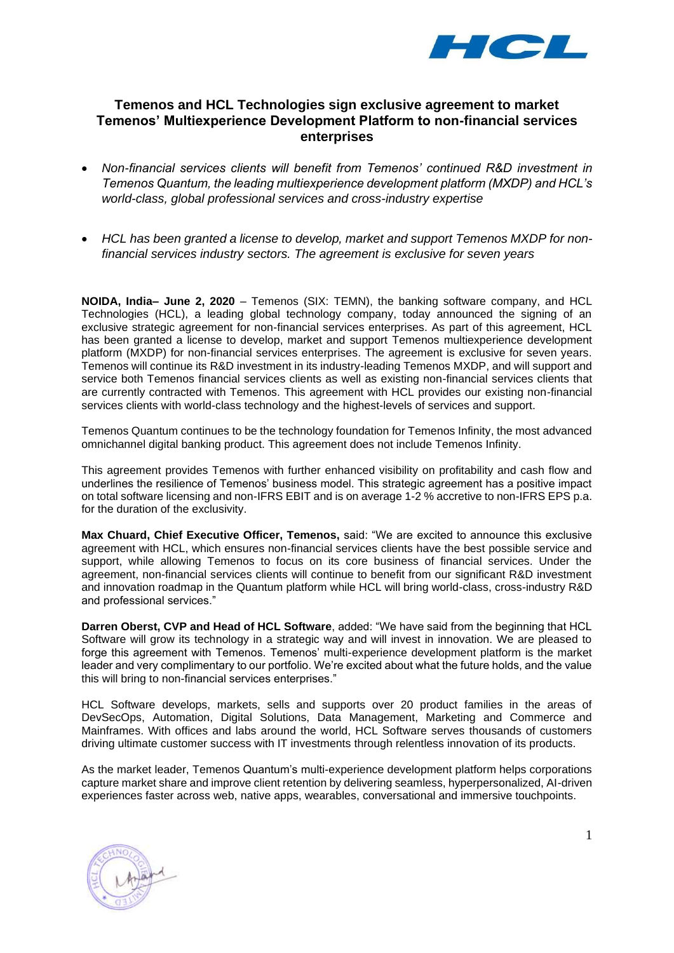

## **Temenos and HCL Technologies sign exclusive agreement to market Temenos' Multiexperience Development Platform to non-financial services enterprises**

- *Non-financial services clients will benefit from Temenos' continued R&D investment in Temenos Quantum, the leading multiexperience development platform (MXDP) and HCL's world-class, global professional services and cross-industry expertise*
- *HCL has been granted a license to develop, market and support Temenos MXDP for nonfinancial services industry sectors. The agreement is exclusive for seven years*

**NOIDA, India– June 2, 2020** – Temenos (SIX: TEMN), the banking software company, and HCL Technologies (HCL), a leading global technology company, today announced the signing of an exclusive strategic agreement for non-financial services enterprises. As part of this agreement, HCL has been granted a license to develop, market and support Temenos multiexperience development platform (MXDP) for non-financial services enterprises. The agreement is exclusive for seven years. Temenos will continue its R&D investment in its industry-leading Temenos MXDP, and will support and service both Temenos financial services clients as well as existing non-financial services clients that are currently contracted with Temenos. This agreement with HCL provides our existing non-financial services clients with world-class technology and the highest-levels of services and support.

Temenos Quantum continues to be the technology foundation for Temenos Infinity, the most advanced omnichannel digital banking product. This agreement does not include Temenos Infinity.

This agreement provides Temenos with further enhanced visibility on profitability and cash flow and underlines the resilience of Temenos' business model. This strategic agreement has a positive impact on total software licensing and non-IFRS EBIT and is on average 1-2 % accretive to non-IFRS EPS p.a. for the duration of the exclusivity.

**Max Chuard, Chief Executive Officer, Temenos,** said: "We are excited to announce this exclusive agreement with HCL, which ensures non-financial services clients have the best possible service and support, while allowing Temenos to focus on its core business of financial services. Under the agreement, non-financial services clients will continue to benefit from our significant R&D investment and innovation roadmap in the Quantum platform while HCL will bring world-class, cross-industry R&D and professional services."

**Darren Oberst, CVP and Head of HCL Software**, added: "We have said from the beginning that HCL Software will grow its technology in a strategic way and will invest in innovation. We are pleased to forge this agreement with Temenos. Temenos' multi-experience development platform is the market leader and very complimentary to our portfolio. We're excited about what the future holds, and the value this will bring to non-financial services enterprises."

HCL Software develops, markets, sells and supports over 20 product families in the areas of DevSecOps, Automation, Digital Solutions, Data Management, Marketing and Commerce and Mainframes. With offices and labs around the world, HCL Software serves thousands of customers driving ultimate customer success with IT investments through relentless innovation of its products.

As the market leader, Temenos Quantum's multi-experience development platform helps corporations capture market share and improve client retention by delivering seamless, hyperpersonalized, AI-driven experiences faster across web, native apps, wearables, conversational and immersive touchpoints.

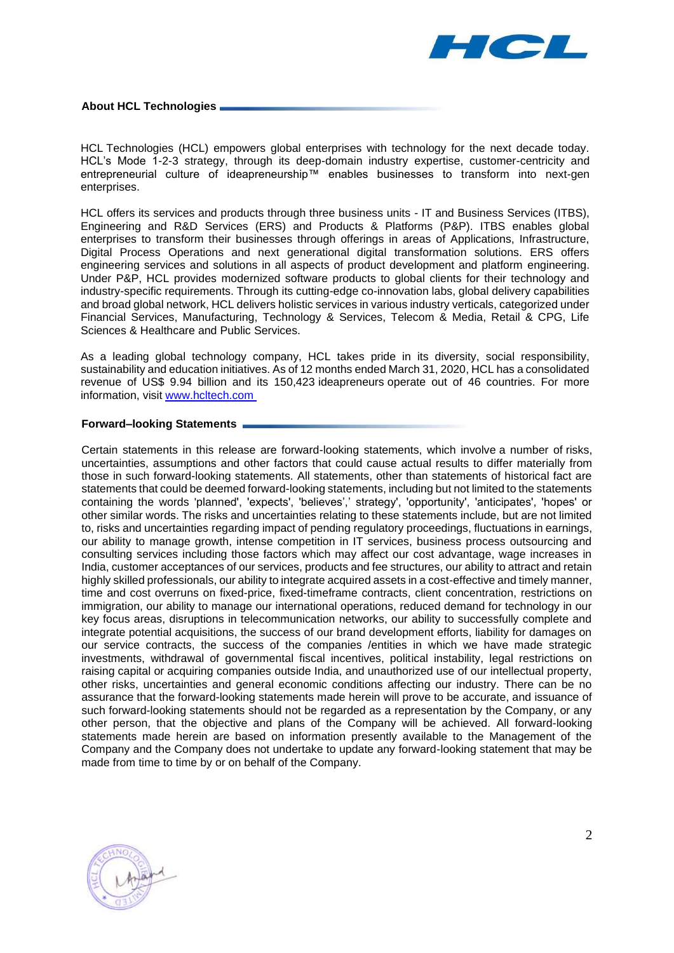

## **About HCL Technologies**

HCL Technologies (HCL) empowers global enterprises with technology for the next decade today. HCL's Mode 1-2-3 strategy, through its deep-domain industry expertise, customer-centricity and entrepreneurial culture of ideapreneurship™ enables businesses to transform into next-gen enterprises.

HCL offers its services and products through three business units - IT and Business Services (ITBS), Engineering and R&D Services (ERS) and Products & Platforms (P&P). ITBS enables global enterprises to transform their businesses through offerings in areas of Applications, Infrastructure, Digital Process Operations and next generational digital transformation solutions. ERS offers engineering services and solutions in all aspects of product development and platform engineering. Under P&P, HCL provides modernized software products to global clients for their technology and industry-specific requirements. Through its cutting-edge co-innovation labs, global delivery capabilities and broad global network, HCL delivers holistic services in various industry verticals, categorized under Financial Services, Manufacturing, Technology & Services, Telecom & Media, Retail & CPG, Life Sciences & Healthcare and Public Services.

As a leading global technology company, HCL takes pride in its diversity, social responsibility, sustainability and education initiatives. As of 12 months ended March 31, 2020, HCL has a consolidated revenue of US\$ 9.94 billion and its 150,423 ideapreneurs operate out of 46 countries. For more information, visit [www.hcltech.com](http://www.hcltech.com/)

## **Forward–looking Statements**

Certain statements in this release are forward-looking statements, which involve a number of risks, uncertainties, assumptions and other factors that could cause actual results to differ materially from those in such forward-looking statements. All statements, other than statements of historical fact are statements that could be deemed forward-looking statements, including but not limited to the statements containing the words 'planned', 'expects', 'believes',' strategy', 'opportunity', 'anticipates', 'hopes' or other similar words. The risks and uncertainties relating to these statements include, but are not limited to, risks and uncertainties regarding impact of pending regulatory proceedings, fluctuations in earnings, our ability to manage growth, intense competition in IT services, business process outsourcing and consulting services including those factors which may affect our cost advantage, wage increases in India, customer acceptances of our services, products and fee structures, our ability to attract and retain highly skilled professionals, our ability to integrate acquired assets in a cost-effective and timely manner, time and cost overruns on fixed-price, fixed-timeframe contracts, client concentration, restrictions on immigration, our ability to manage our international operations, reduced demand for technology in our key focus areas, disruptions in telecommunication networks, our ability to successfully complete and integrate potential acquisitions, the success of our brand development efforts, liability for damages on our service contracts, the success of the companies /entities in which we have made strategic investments, withdrawal of governmental fiscal incentives, political instability, legal restrictions on raising capital or acquiring companies outside India, and unauthorized use of our intellectual property, other risks, uncertainties and general economic conditions affecting our industry. There can be no assurance that the forward-looking statements made herein will prove to be accurate, and issuance of such forward-looking statements should not be regarded as a representation by the Company, or any other person, that the objective and plans of the Company will be achieved. All forward-looking statements made herein are based on information presently available to the Management of the Company and the Company does not undertake to update any forward-looking statement that may be made from time to time by or on behalf of the Company.